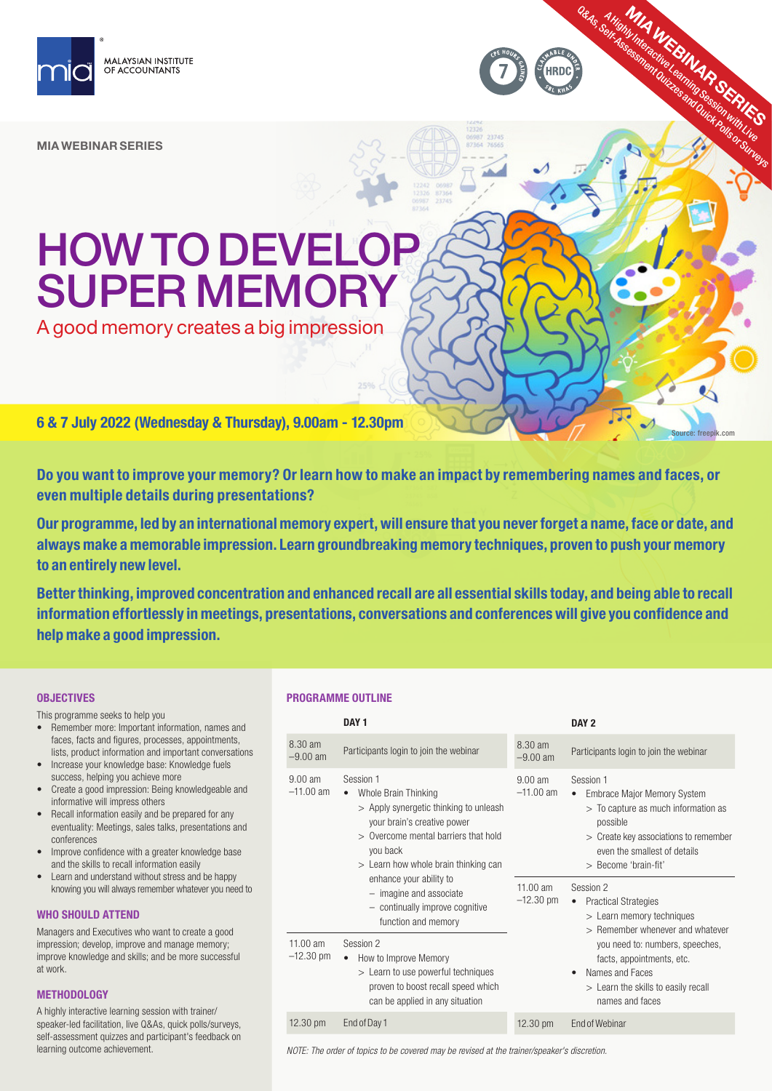

MIA WEBINAR SERIES

# HOW TO DEVELOP SUPER MEMORY

A good memory creates a big impression

6 & 7 July 2022 (Wednesday & Thursday), 9.00am - 12.30pm

Do you want to improve your memory? Or learn how to make an impact by remembering names and faces, or even multiple details during presentations?

Our programme, led by an international memory expert, will ensure that you never forget a name, face or date, and always make a memorable impression. Learn groundbreaking memory techniques, proven to push your memory to an entirely new level.

Better thinking, improved concentration and enhanced recall are all essential skills today, and being able to recall information effortlessly in meetings, presentations, conversations and conferences will give you confidence and help make a good impression.

# **OBJECTIVES**

This programme seeks to help you

- Remember more: Important information, names and faces, facts and figures, processes, appointments, lists, product information and important conversations
- Increase your knowledge base: Knowledge fuels success, helping you achieve more
- Create a good impression: Being knowledgeable and informative will impress others
- Recall information easily and be prepared for any eventuality: Meetings, sales talks, presentations and conferences
- Improve confidence with a greater knowledge base and the skills to recall information easily
- Learn and understand without stress and be happy knowing you will always remember whatever you need to

# WHO SHOULD ATTEND

Managers and Executives who want to create a good impression; develop, improve and manage memory; improve knowledge and skills; and be more successful at work.

# **METHODOLOGY**

A highly interactive learning session with trainer/ speaker-led facilitation, live Q&As, quick polls/surveys, self-assessment quizzes and participant's feedback on learning outcome achievement.

# PROGRAMME OUTLINE

|                                                             | DAY <sub>1</sub>                                                                                                                                                                                                                                                                                                                                                                                                                                                                                      |                                                               | DAY <sub>2</sub>                                                                                                                                                                                                                                                                                                                                                                                                                                                                        |
|-------------------------------------------------------------|-------------------------------------------------------------------------------------------------------------------------------------------------------------------------------------------------------------------------------------------------------------------------------------------------------------------------------------------------------------------------------------------------------------------------------------------------------------------------------------------------------|---------------------------------------------------------------|-----------------------------------------------------------------------------------------------------------------------------------------------------------------------------------------------------------------------------------------------------------------------------------------------------------------------------------------------------------------------------------------------------------------------------------------------------------------------------------------|
| 8.30 am<br>$-9.00$ am                                       | Participants login to join the webinar                                                                                                                                                                                                                                                                                                                                                                                                                                                                | 8.30 am<br>$-9.00$ am                                         | Participants login to join the webinar                                                                                                                                                                                                                                                                                                                                                                                                                                                  |
| $9.00$ am<br>$-11.00$ am<br>11.00 am<br>$-12.30 \text{ pm}$ | Session 1<br>Whole Brain Thinking<br>$\bullet$<br>> Apply synergetic thinking to unleash<br>your brain's creative power<br>> Overcome mental barriers that hold<br>you back<br>> Learn how whole brain thinking can<br>enhance your ability to<br>- imagine and associate<br>- continually improve cognitive<br>function and memory<br>Session 2<br>How to Improve Memory<br>$\bullet$<br>> Learn to use powerful techniques<br>proven to boost recall speed which<br>can be applied in any situation | $9.00$ am<br>$-11.00$ am<br>$11.00$ am<br>$-12.30 \text{ pm}$ | Session 1<br><b>Embrace Major Memory System</b><br>$\bullet$<br>> To capture as much information as<br>possible<br>> Create key associations to remember<br>even the smallest of details<br>> Become 'brain-fit'<br>Session 2<br><b>Practical Strategies</b><br>$\bullet$<br>> Learn memory techniques<br>> Remember whenever and whatever<br>you need to: numbers, speeches,<br>facts, appointments, etc.<br>Names and Faces<br>> Learn the skills to easily recall<br>names and faces |
| $12.30 \text{ pm}$                                          | End of Day 1                                                                                                                                                                                                                                                                                                                                                                                                                                                                                          | $12.30 \text{ pm}$                                            | End of Webinar                                                                                                                                                                                                                                                                                                                                                                                                                                                                          |

ORAS, SHighly Interactive LEARN AR SERIES

Source: freepik.com

*NOTE: The order of topics to be covered may be revised at the trainer/speaker's discretion.*